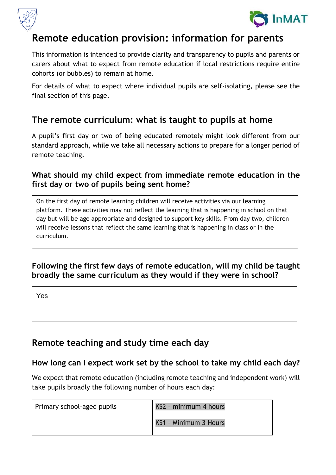



# **Remote education provision: information for parents**

This information is intended to provide clarity and transparency to pupils and parents or carers about what to expect from remote education if local restrictions require entire cohorts (or bubbles) to remain at home.

For details of what to expect where individual pupils are self-isolating, please see the final section of this page.

## **The remote curriculum: what is taught to pupils at home**

A pupil's first day or two of being educated remotely might look different from our standard approach, while we take all necessary actions to prepare for a longer period of remote teaching.

### **What should my child expect from immediate remote education in the first day or two of pupils being sent home?**

On the first day of remote learning children will receive activities via our learning platform. These activities may not reflect the learning that is happening in school on that day but will be age appropriate and designed to support key skills. From day two, children will receive lessons that reflect the same learning that is happening in class or in the curriculum.

### **Following the first few days of remote education, will my child be taught broadly the same curriculum as they would if they were in school?**

Yes

# **Remote teaching and study time each day**

### **How long can I expect work set by the school to take my child each day?**

We expect that remote education (including remote teaching and independent work) will take pupils broadly the following number of hours each day:

| Primary school-aged pupils | KS2 - minimum 4 hours |
|----------------------------|-----------------------|
|                            | KS1 - Minimum 3 Hours |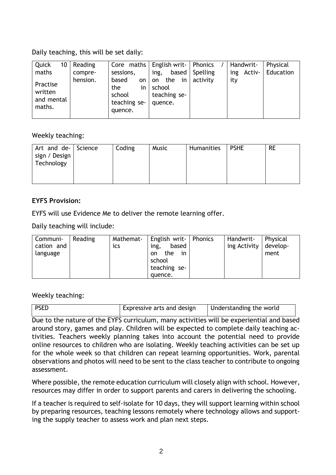Daily teaching, this will be set daily:

Weekly teaching:

| Art and de- Science<br>sign / Design<br>Technology | Coding | Music | Humanities | <b>PSHE</b> | <b>RE</b> |
|----------------------------------------------------|--------|-------|------------|-------------|-----------|
|                                                    |        |       |            |             |           |

#### **EYFS Provision:**

EYFS will use Evidence Me to deliver the remote learning offer.

Daily teaching will include:

| Communi-   | Reading | Mathemat- | English writ-   Phonics | Handwrit-               | Physical |
|------------|---------|-----------|-------------------------|-------------------------|----------|
| cation and |         | ics       | based<br>ing,           | ing Activity   develop- |          |
| language   |         |           | the<br>in :<br>on       |                         | ment     |
|            |         |           | school                  |                         |          |
|            |         |           | teaching se-            |                         |          |
|            |         |           | quence.                 |                         |          |

Weekly teaching:

| <b>PSED</b> | Expressive arts and design | Understanding the world |
|-------------|----------------------------|-------------------------|
|             |                            |                         |

Due to the nature of the EYFS curriculum, many activities will be experiential and based around story, games and play. Children will be expected to complete daily teaching activities. Teachers weekly planning takes into account the potential need to provide online resources to children who are isolating. Weekly teaching activities can be set up for the whole week so that children can repeat learning opportunities. Work, parental observations and photos will need to be sent to the class teacher to contribute to ongoing assessment.

Where possible, the remote education curriculum will closely align with school. However, resources may differ in order to support parents and carers in delivering the schooling.

If a teacher is required to self-isolate for 10 days, they will support learning within school by preparing resources, teaching lessons remotely where technology allows and supporting the supply teacher to assess work and plan next steps.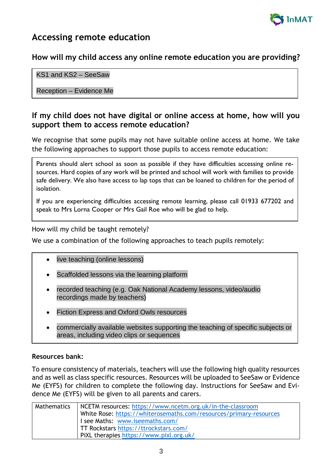

### **Accessing remote education**

#### **How will my child access any online remote education you are providing?**

#### KS1 and KS2 – SeeSaw

Reception – Evidence Me

#### **If my child does not have digital or online access at home, how will you support them to access remote education?**

We recognise that some pupils may not have suitable online access at home. We take the following approaches to support those pupils to access remote education:

Parents should alert school as soon as possible if they have difficulties accessing online resources. Hard copies of any work will be printed and school will work with families to provide safe delivery. We also have access to lap tops that can be loaned to children for the period of isolation.

If you are experiencing difficulties accessing remote learning, please call 01933 677202 and speak to Mrs Lorna Cooper or Mrs Gail Roe who will be glad to help.

How will my child be taught remotely?

We use a combination of the following approaches to teach pupils remotely:

- live teaching (online lessons)
- Scaffolded lessons via the learning platform
- recorded teaching (e.g. Oak National Academy lessons, video/audio recordings made by teachers)
- Fiction Express and Oxford Owls resources
- commercially available websites supporting the teaching of specific subjects or areas, including video clips or sequences

#### **Resources bank:**

To ensure consistency of materials, teachers will use the following high quality resources and as well as class specific resources. Resources will be uploaded to SeeSaw or Evidence Me (EYFS) for children to complete the following day. Instructions for SeeSaw and Evidence Me (EYFS) will be given to all parents and carers.

| Mathematics | NCETM resources: https://www.ncetm.org.uk/in-the-classroom         |
|-------------|--------------------------------------------------------------------|
|             | White Rose: https://whiterosemaths.com/resources/primary-resources |
|             | I see Maths: www.iseemaths.com/                                    |
|             | TT Rockstars https://ttrockstars.com/                              |
|             | PiXL therapies https://www.pixl.org.uk/                            |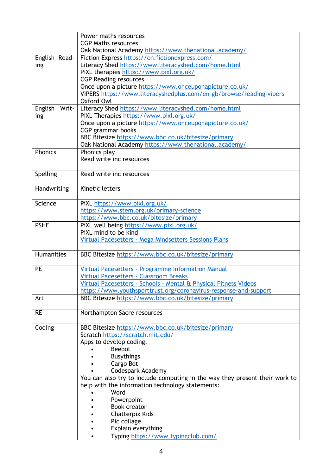|                   | Power maths resources                                                        |  |  |
|-------------------|------------------------------------------------------------------------------|--|--|
|                   | <b>CGP Maths resources</b>                                                   |  |  |
|                   | Oak National Academy https://www.thenational.academy/                        |  |  |
| English Read-     | Fiction Express https://en.fictionexpress.com/                               |  |  |
| ing               | Literacy Shed https://www.literacyshed.com/home.html                         |  |  |
|                   | PiXL therapies https://www.pixl.org.uk/                                      |  |  |
|                   | <b>CGP Reading resources</b>                                                 |  |  |
|                   | Once upon a picture https://www.onceuponapicture.co.uk/                      |  |  |
|                   | VIPERS https://www.literacyshedplus.com/en-gb/browse/reading-vipers          |  |  |
|                   | Oxford Owl                                                                   |  |  |
| English<br>Writ-  | Literacy Shed https://www.literacyshed.com/home.html                         |  |  |
| ing               | PiXL Therapies https://www.pixl.org.uk/                                      |  |  |
|                   | Once upon a picture https://www.onceuponapicture.co.uk/<br>CGP grammar books |  |  |
|                   | BBC Bitesize https://www.bbc.co.uk/bitesize/primary                          |  |  |
|                   | Oak National Academy https://www.thenational.academy/                        |  |  |
| Phonics           | Phonics play                                                                 |  |  |
|                   | Read write inc resources                                                     |  |  |
|                   |                                                                              |  |  |
| Spelling          | Read write inc resources                                                     |  |  |
|                   |                                                                              |  |  |
| Handwriting       | Kinetic letters                                                              |  |  |
|                   |                                                                              |  |  |
| Science           | PiXL https://www.pixl.org.uk/                                                |  |  |
|                   | https://www.stem.org.uk/primary-science                                      |  |  |
|                   | https://www.bbc.co.uk/bitesize/primary                                       |  |  |
| <b>PSHE</b>       | PiXL well being https://www.pixl.org.uk/                                     |  |  |
|                   | PiXL mind to be kind                                                         |  |  |
|                   | Virtual Pacesetters - Mega Mindsetters Sessions Plans                        |  |  |
|                   |                                                                              |  |  |
| <b>Humanities</b> | BBC Bitesize https://www.bbc.co.uk/bitesize/primary                          |  |  |
| <b>PE</b>         | Virtual Pacesetters - Programme Information Manual                           |  |  |
|                   | <b>Virtual Pacesetters - Classroom Breaks</b>                                |  |  |
|                   | Virtual Pacesetters - Schools - Mental & Physical Fitness Videos             |  |  |
|                   | https://www.youthsporttrust.org/coronavirus-response-and-support             |  |  |
| Art               | BBC Bitesize https://www.bbc.co.uk/bitesize/primary                          |  |  |
|                   |                                                                              |  |  |
| <b>RE</b>         | Northampton Sacre resources                                                  |  |  |
|                   |                                                                              |  |  |
| Coding            | BBC Bitesize https://www.bbc.co.uk/bitesize/primary                          |  |  |
|                   | Scratch https://scratch.mit.edu/                                             |  |  |
|                   | Apps to develop coding:                                                      |  |  |
|                   | <b>Beebot</b>                                                                |  |  |
|                   | <b>Busythings</b>                                                            |  |  |
|                   | Cargo Bot                                                                    |  |  |
|                   | Codespark Academy                                                            |  |  |
|                   | You can also try to include computing in the way they present their work to  |  |  |
|                   | help with the information technology statements:                             |  |  |
|                   | Word                                                                         |  |  |
|                   | Powerpoint                                                                   |  |  |
|                   | <b>Book creator</b>                                                          |  |  |
|                   | Chatterpix Kids                                                              |  |  |
|                   | Pic collage                                                                  |  |  |
|                   | Explain everything                                                           |  |  |
|                   | Typing https://www.typingclub.com/                                           |  |  |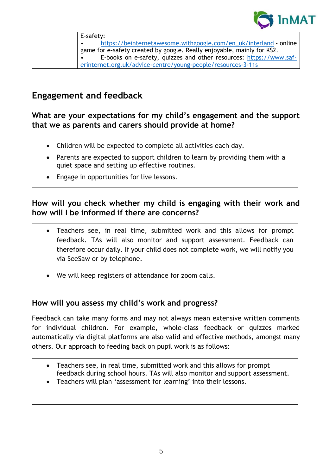

| E-safety:                                                              |
|------------------------------------------------------------------------|
| https://beinternetawesome.withgoogle.com/en_uk/interland - online      |
| game for e-safety created by google. Really enjoyable, mainly for KS2. |
| E-books on e-safety, quizzes and other resources: https://www.saf-     |
| erinternet.org.uk/advice-centre/young-people/resources-3-11s           |

## **Engagement and feedback**

**What are your expectations for my child's engagement and the support that we as parents and carers should provide at home?**

- Children will be expected to complete all activities each day.
- Parents are expected to support children to learn by providing them with a quiet space and setting up effective routines.
- Engage in opportunities for live lessons.

#### **How will you check whether my child is engaging with their work and how will I be informed if there are concerns?**

- Teachers see, in real time, submitted work and this allows for prompt feedback. TAs will also monitor and support assessment. Feedback can therefore occur daily. If your child does not complete work, we will notify you via SeeSaw or by telephone.
- We will keep registers of attendance for zoom calls.

#### **How will you assess my child's work and progress?**

Feedback can take many forms and may not always mean extensive written comments for individual children. For example, whole-class feedback or quizzes marked automatically via digital platforms are also valid and effective methods, amongst many others. Our approach to feeding back on pupil work is as follows:

- Teachers see, in real time, submitted work and this allows for prompt feedback during school hours. TAs will also monitor and support assessment.
- Teachers will plan 'assessment for learning' into their lessons.